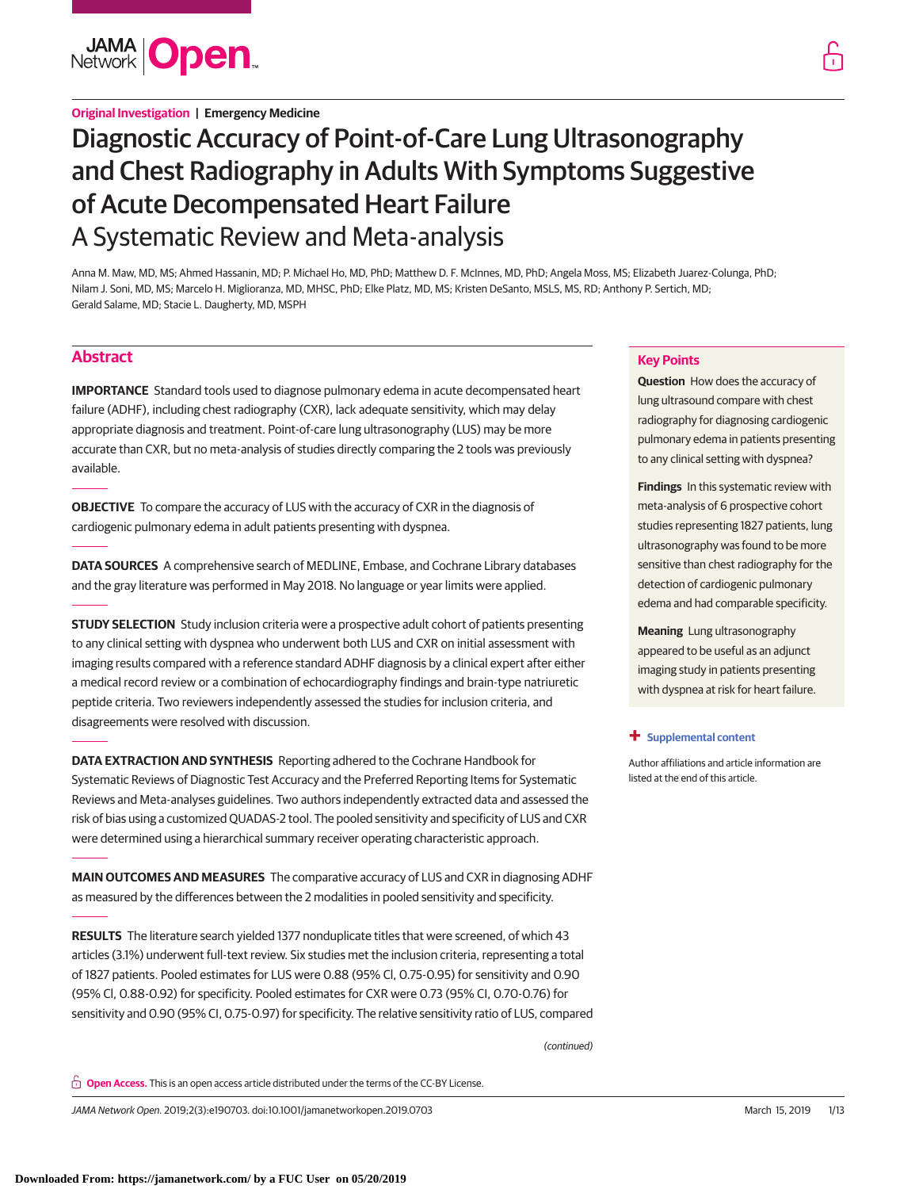

## **Original Investigation | Emergency Medicine**

# Diagnostic Accuracy of Point-of-Care Lung Ultrasonography and Chest Radiography in Adults With Symptoms Suggestive of Acute Decompensated Heart Failure A Systematic Review and Meta-analysis

Anna M. Maw, MD, MS; Ahmed Hassanin, MD; P. Michael Ho, MD, PhD; Matthew D. F. McInnes, MD, PhD; Angela Moss, MS; Elizabeth Juarez-Colunga, PhD; Nilam J. Soni, MD, MS; Marcelo H. Miglioranza, MD, MHSC, PhD; Elke Platz, MD, MS; Kristen DeSanto, MSLS, MS, RD; Anthony P. Sertich, MD; Gerald Salame, MD; Stacie L. Daugherty, MD, MSPH

# **Abstract**

**IMPORTANCE** Standard tools used to diagnose pulmonary edema in acute decompensated heart failure (ADHF), including chest radiography (CXR), lack adequate sensitivity, which may delay appropriate diagnosis and treatment. Point-of-care lung ultrasonography (LUS) may be more accurate than CXR, but no meta-analysis of studies directly comparing the 2 tools was previously available.

**OBJECTIVE** To compare the accuracy of LUS with the accuracy of CXR in the diagnosis of cardiogenic pulmonary edema in adult patients presenting with dyspnea.

**DATA SOURCES** A comprehensive search of MEDLINE, Embase, and Cochrane Library databases and the gray literature was performed in May 2018. No language or year limits were applied.

**STUDY SELECTION** Study inclusion criteria were a prospective adult cohort of patients presenting to any clinical setting with dyspnea who underwent both LUS and CXR on initial assessment with imaging results compared with a reference standard ADHF diagnosis by a clinical expert after either a medical record review or a combination of echocardiography findings and brain-type natriuretic peptide criteria. Two reviewers independently assessed the studies for inclusion criteria, and disagreements were resolved with discussion.

**DATA EXTRACTION AND SYNTHESIS** Reporting adhered to the Cochrane Handbook for Systematic Reviews of Diagnostic Test Accuracy and the Preferred Reporting Items for Systematic Reviews and Meta-analyses guidelines. Two authors independently extracted data and assessed the risk of bias using a customized QUADAS-2 tool. The pooled sensitivity and specificity of LUS and CXR were determined using a hierarchical summary receiver operating characteristic approach.

**MAIN OUTCOMES AND MEASURES** The comparative accuracy of LUS and CXR in diagnosing ADHF as measured by the differences between the 2 modalities in pooled sensitivity and specificity.

**RESULTS** The literature search yielded 1377 nonduplicate titles that were screened, of which 43 articles (3.1%) underwent full-text review. Six studies met the inclusion criteria, representing a total of 1827 patients. Pooled estimates for LUS were 0.88 (95% Cl, 0.75-0.95) for sensitivity and 0.90 (95% Cl, 0.88-0.92) for specificity. Pooled estimates for CXR were 0.73 (95% CI, 0.70-0.76) for sensitivity and 0.90 (95% CI, 0.75-0.97) for specificity. The relative sensitivity ratio of LUS, compared

(continued)

**Open Access.** This is an open access article distributed under the terms of the CC-BY License.

JAMA Network Open. 2019;2(3):e190703. doi:10.1001/jamanetworkopen.2019.0703 (Reprinted) March 15, 2019 1/13

## **Key Points**

**Question** How does the accuracy of lung ultrasound compare with chest radiography for diagnosing cardiogenic pulmonary edema in patients presenting to any clinical setting with dyspnea?

**Findings** In this systematic review with meta-analysis of 6 prospective cohort studies representing 1827 patients, lung ultrasonography was found to be more sensitive than chest radiography for the detection of cardiogenic pulmonary edema and had comparable specificity.

**Meaning** Lung ultrasonography appeared to be useful as an adjunct imaging study in patients presenting with dyspnea at risk for heart failure.

#### **+ [Supplemental content](https://jama.jamanetwork.com/article.aspx?doi=10.1001/jamanetworkopen.2019.0703&utm_campaign=articlePDF%26utm_medium=articlePDFlink%26utm_source=articlePDF%26utm_content=jamanetworkopen.2019.0703)**

Author affiliations and article information are listed at the end of this article.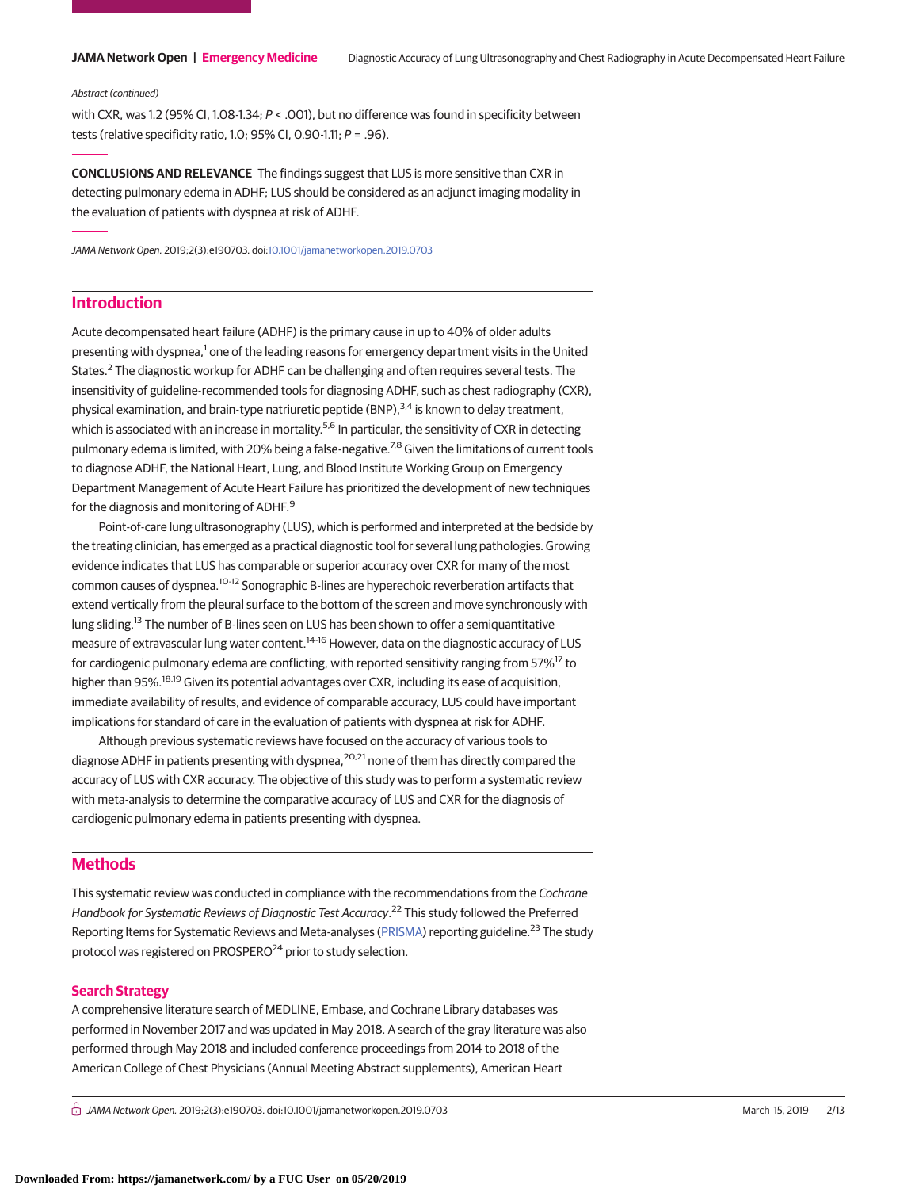#### Abstract (continued)

with CXR, was 1.2 (95% CI, 1.08-1.34;  $P <$  .001), but no difference was found in specificity between tests (relative specificity ratio, 1.0; 95% CI, 0.90-1.11;  $P = .96$ ).

**CONCLUSIONS AND RELEVANCE** The findings suggest that LUS is more sensitive than CXR in detecting pulmonary edema in ADHF; LUS should be considered as an adjunct imaging modality in the evaluation of patients with dyspnea at risk of ADHF.

JAMA Network Open. 2019;2(3):e190703. doi[:10.1001/jamanetworkopen.2019.0703](https://jama.jamanetwork.com/article.aspx?doi=10.1001/jamanetworkopen.2019.0703&utm_campaign=articlePDF%26utm_medium=articlePDFlink%26utm_source=articlePDF%26utm_content=jamanetworkopen.2019.0703)

# **Introduction**

Acute decompensated heart failure (ADHF) is the primary cause in up to 40% of older adults presenting with dyspnea,<sup>1</sup> one of the leading reasons for emergency department visits in the United States.<sup>2</sup> The diagnostic workup for ADHF can be challenging and often requires several tests. The insensitivity of guideline-recommended tools for diagnosing ADHF, such as chest radiography (CXR), physical examination, and brain-type natriuretic peptide (BNP),  $3.4$  is known to delay treatment, which is associated with an increase in mortality.<sup>5,6</sup> In particular, the sensitivity of CXR in detecting pulmonary edema is limited, with 20% being a false-negative.<sup>7,8</sup> Given the limitations of current tools to diagnose ADHF, the National Heart, Lung, and Blood Institute Working Group on Emergency Department Management of Acute Heart Failure has prioritized the development of new techniques for the diagnosis and monitoring of ADHF.<sup>9</sup>

Point-of-care lung ultrasonography (LUS), which is performed and interpreted at the bedside by the treating clinician, has emerged as a practical diagnostic tool for several lung pathologies. Growing evidence indicates that LUS has comparable or superior accuracy over CXR for many of the most common causes of dyspnea.10-12 Sonographic B-lines are hyperechoic reverberation artifacts that extend vertically from the pleural surface to the bottom of the screen and move synchronously with lung sliding.<sup>13</sup> The number of B-lines seen on LUS has been shown to offer a semiquantitative measure of extravascular lung water content.<sup>14-16</sup> However, data on the diagnostic accuracy of LUS for cardiogenic pulmonary edema are conflicting, with reported sensitivity ranging from 57%<sup>17</sup> to higher than 95%.<sup>18,19</sup> Given its potential advantages over CXR, including its ease of acquisition, immediate availability of results, and evidence of comparable accuracy, LUS could have important implications for standard of care in the evaluation of patients with dyspnea at risk for ADHF.

Although previous systematic reviews have focused on the accuracy of various tools to diagnose ADHF in patients presenting with dyspnea,<sup>20,21</sup> none of them has directly compared the accuracy of LUS with CXR accuracy. The objective of this study was to perform a systematic review with meta-analysis to determine the comparative accuracy of LUS and CXR for the diagnosis of cardiogenic pulmonary edema in patients presenting with dyspnea.

## **Methods**

This systematic review was conducted in compliance with the recommendations from the Cochrane Handbook for Systematic Reviews of Diagnostic Test Accuracy.<sup>22</sup> This study followed the Preferred Reporting Items for Systematic Reviews and Meta-analyses [\(PRISMA\)](http://www.equator-network.org/reporting-guidelines/prisma/) reporting guideline.<sup>23</sup> The study protocol was registered on PROSPERO<sup>24</sup> prior to study selection.

## **Search Strategy**

A comprehensive literature search of MEDLINE, Embase, and Cochrane Library databases was performed in November 2017 and was updated in May 2018. A search of the gray literature was also performed through May 2018 and included conference proceedings from 2014 to 2018 of the American College of Chest Physicians (Annual Meeting Abstract supplements), American Heart

 $\stackrel{\frown}{\Pi}$  JAMA Network Open. 2019;2(3):e190703. doi:10.1001/jamanetworkopen.2019.0703 (Reprinted) March 15, 2019 2/13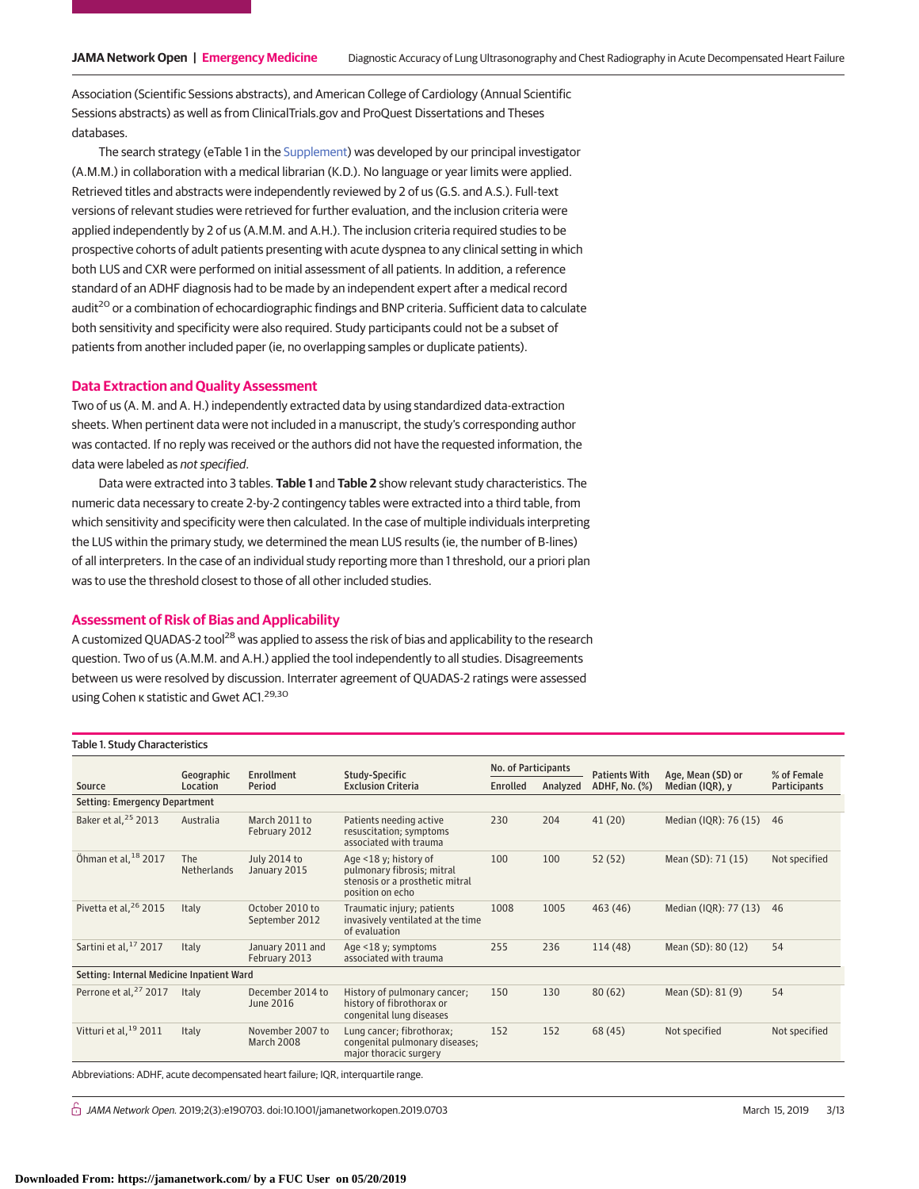Association (Scientific Sessions abstracts), and American College of Cardiology (Annual Scientific Sessions abstracts) as well as from ClinicalTrials.gov and ProQuest Dissertations and Theses databases.

The search strategy (eTable 1 in the [Supplement\)](https://jama.jamanetwork.com/article.aspx?doi=10.1001/jamanetworkopen.2019.0703&utm_campaign=articlePDF%26utm_medium=articlePDFlink%26utm_source=articlePDF%26utm_content=jamanetworkopen.2019.0703) was developed by our principal investigator (A.M.M.) in collaboration with a medical librarian (K.D.). No language or year limits were applied. Retrieved titles and abstracts were independently reviewed by 2 of us (G.S. and A.S.). Full-text versions of relevant studies were retrieved for further evaluation, and the inclusion criteria were applied independently by 2 of us (A.M.M. and A.H.). The inclusion criteria required studies to be prospective cohorts of adult patients presenting with acute dyspnea to any clinical setting in which both LUS and CXR were performed on initial assessment of all patients. In addition, a reference standard of an ADHF diagnosis had to be made by an independent expert after a medical record audit<sup>20</sup> or a combination of echocardiographic findings and BNP criteria. Sufficient data to calculate both sensitivity and specificity were also required. Study participants could not be a subset of patients from another included paper (ie, no overlapping samples or duplicate patients).

#### **Data Extraction and Quality Assessment**

Two of us (A. M. and A. H.) independently extracted data by using standardized data-extraction sheets. When pertinent data were not included in a manuscript, the study's corresponding author was contacted. If no reply was received or the authors did not have the requested information, the data were labeled as not specified.

Data were extracted into 3 tables. **Table 1** and **Table 2** show relevant study characteristics. The numeric data necessary to create 2-by-2 contingency tables were extracted into a third table, from which sensitivity and specificity were then calculated. In the case of multiple individuals interpreting the LUS within the primary study, we determined the mean LUS results (ie, the number of B-lines) of all interpreters. In the case of an individual study reporting more than 1 threshold, our a priori plan was to use the threshold closest to those of all other included studies.

## **Assessment of Risk of Bias and Applicability**

A customized QUADAS-2 tool<sup>28</sup> was applied to assess the risk of bias and applicability to the research question. Two of us (A.M.M. and A.H.) applied the tool independently to all studies. Disagreements between us were resolved by discussion. Interrater agreement of QUADAS-2 ratings were assessed using Cohen κ statistic and Gwet AC1.<sup>29,30</sup>

| Table 1. Study Characteristics            |                                            |                                     |                                                                                                            |                            |          |                      |                       |                     |  |  |
|-------------------------------------------|--------------------------------------------|-------------------------------------|------------------------------------------------------------------------------------------------------------|----------------------------|----------|----------------------|-----------------------|---------------------|--|--|
|                                           | Enrollment<br>Study-Specific<br>Geographic |                                     |                                                                                                            | <b>No. of Participants</b> |          | <b>Patients With</b> | Age, Mean (SD) or     | % of Female         |  |  |
| Source                                    | Location                                   | Period                              | <b>Exclusion Criteria</b>                                                                                  | Enrolled                   | Analyzed | ADHF, No. (%)        | Median (IQR), y       | <b>Participants</b> |  |  |
| Setting: Emergency Department             |                                            |                                     |                                                                                                            |                            |          |                      |                       |                     |  |  |
| Baker et al, <sup>25</sup> 2013           | Australia                                  | March 2011 to<br>February 2012      | Patients needing active<br>resuscitation; symptoms<br>associated with trauma                               | 230                        | 204      | 41(20)               | Median (IQR): 76 (15) | 46                  |  |  |
| Öhman et al, 18 2017                      | <b>The</b><br>Netherlands                  | <b>July 2014 to</b><br>January 2015 | Age <18 y; history of<br>pulmonary fibrosis; mitral<br>stenosis or a prosthetic mitral<br>position on echo | 100                        | 100      | 52(52)               | Mean (SD): 71 (15)    | Not specified       |  |  |
| Pivetta et al, <sup>26</sup> 2015         | Italy                                      | October 2010 to<br>September 2012   | Traumatic injury; patients<br>invasively ventilated at the time<br>of evaluation                           | 1008                       | 1005     | 463 (46)             | Median (IQR): 77 (13) | 46                  |  |  |
| Sartini et al, <sup>17</sup> 2017         | Italy                                      | January 2011 and<br>February 2013   | Age <18 y; symptoms<br>associated with trauma                                                              | 255                        | 236      | 114(48)              | Mean (SD): 80 (12)    | 54                  |  |  |
| Setting: Internal Medicine Inpatient Ward |                                            |                                     |                                                                                                            |                            |          |                      |                       |                     |  |  |
| Perrone et al, <sup>27</sup> 2017         | Italy                                      | December 2014 to<br>June 2016       | History of pulmonary cancer;<br>history of fibrothorax or<br>congenital lung diseases                      | 150                        | 130      | 80(62)               | Mean (SD): 81 (9)     | 54                  |  |  |
| Vitturi et al, <sup>19</sup> 2011         | Italy                                      | November 2007 to<br>March 2008      | Lung cancer; fibrothorax;<br>congenital pulmonary diseases;<br>major thoracic surgery                      | 152                        | 152      | 68 (45)              | Not specified         | Not specified       |  |  |

Abbreviations: ADHF, acute decompensated heart failure; IQR, interquartile range.

 $\stackrel{\frown}{\Pi}$  JAMA Network Open. 2019;2(3):e190703. doi:10.1001/jamanetworkopen.2019.0703 (Reprinted) March 15, 2019 3/13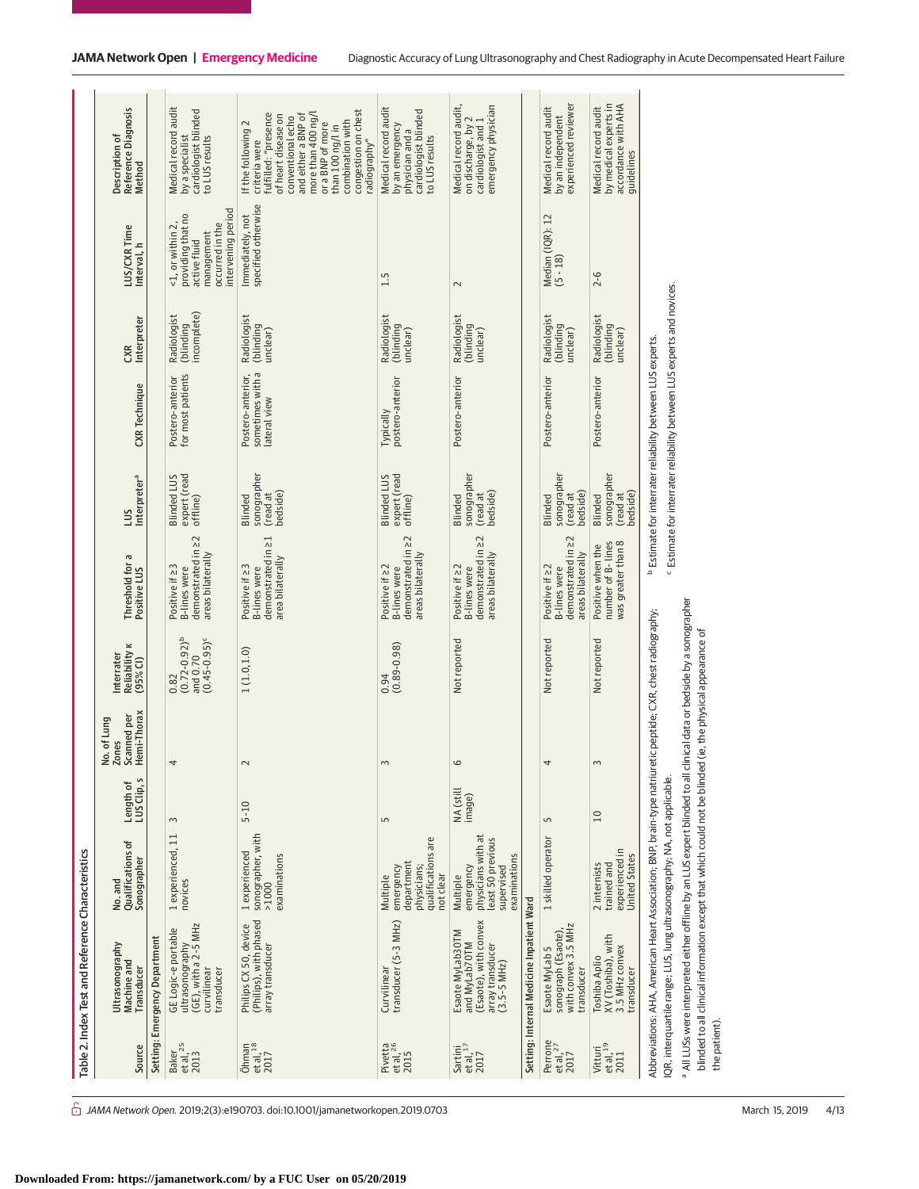|                                                      | Table 2. Index Test and Reference Characteristics                                                                                                                                                                                                                                                                |                                                                                                |                          |                                                     |                                                              |                                                                                        |                                                |                                                                                                                                                            |                                         |                                                                                                              |                                                                                                                                                                                                                                                        |
|------------------------------------------------------|------------------------------------------------------------------------------------------------------------------------------------------------------------------------------------------------------------------------------------------------------------------------------------------------------------------|------------------------------------------------------------------------------------------------|--------------------------|-----------------------------------------------------|--------------------------------------------------------------|----------------------------------------------------------------------------------------|------------------------------------------------|------------------------------------------------------------------------------------------------------------------------------------------------------------|-----------------------------------------|--------------------------------------------------------------------------------------------------------------|--------------------------------------------------------------------------------------------------------------------------------------------------------------------------------------------------------------------------------------------------------|
| Source                                               | Ultrasonography<br>Machine and<br>Transducer                                                                                                                                                                                                                                                                     | <b>Qualifications of</b><br>Sonographer<br>No. and                                             | LUS Clip, s<br>Length of | Scanned per<br>Hemi-Thorax<br>. of Lung<br>No. of I | Reliability <b>K</b><br>Interrater<br>$(95%$ CI)             | Threshold for a<br>Positive LUS                                                        | Interpreter <sup>a</sup><br>Snn                | <b>CXR</b> Technique                                                                                                                                       | Interpreter<br>CXR                      | LUS/CXR Time<br>Interval, h                                                                                  | Reference Diagnosis<br>Description of<br>Method                                                                                                                                                                                                        |
|                                                      | Setting: Emergency Department                                                                                                                                                                                                                                                                                    |                                                                                                |                          |                                                     |                                                              |                                                                                        |                                                |                                                                                                                                                            |                                         |                                                                                                              |                                                                                                                                                                                                                                                        |
| Baker<br>et al, <sup>25</sup><br>2013                | (GE), with a 2-5 MHz<br>GE Logic-e portable<br>ultrasonography<br>transducer<br>curvilinear                                                                                                                                                                                                                      | 1 experienced, 11<br>novices                                                                   | $\sim$                   | 4                                                   | $(0.72 - 0.92)^{b}$<br>$(0.45 - 0.95)^c$<br>and 0.70<br>0.82 | demonstrated in 22<br>areas bilaterally<br>Positive if 23<br><b>B-lines</b> were       | expert (read<br><b>Blinded LUS</b><br>offline) | for most patients<br>Postero-anterior                                                                                                                      | incomplete)<br>Radiologist<br>(blinding | intervening period<br>providing that no<br><1, or within 2,<br>occurred in the<br>management<br>active fluid | Medical record audit<br>cardiologist blinded<br>by a specialist<br>to LUS results                                                                                                                                                                      |
| $\frac{\text{Öhman}}{\text{et al}, \frac{18}{2017}}$ | (Philips), with phased<br>Philips CX 50, device<br>array transducer                                                                                                                                                                                                                                              | sonographer, with<br>1 experienced<br>examinations<br>>1000                                    | $5 - 10$                 | $\sim$                                              | 1(1.0, 1.0)                                                  | 닜<br>demonstrated in<br>area bilaterally<br>Positive if 23<br><b>B-lines</b> were      | sonographer<br>bedside)<br>(read at<br>Blinded | sometimes with a<br>Postero-anterior,<br>lateral view                                                                                                      | Radiologist<br>(blinding<br>unclear)    | specified otherwise<br>Immediately, not                                                                      | congestion on chest<br>fulfilled: "presence<br>more than 400 ng/l<br>and either a BNP of<br>of heart disease on<br>conventional echo<br>combination with<br>If the following 2<br>or a BNP of more<br>than 100 ng/lin<br>criteria were<br>radiography" |
| Pivetta<br>et al, <sup>26</sup><br>2015              | transducer (5-3 MHz)<br>Curvilinear                                                                                                                                                                                                                                                                              | qualifications are<br>department<br>emergency<br>physicians;<br>not clear<br>Multiple          | 5                        | 3                                                   | $(0.89 - 0.98)$<br>0.94                                      | demonstrated in 22<br>areas bilaterally<br>Positive if $\geq$ 2<br><b>B-lines</b> were | expert (read<br><b>Blinded LUS</b><br>offline) | postero-anterior<br><b>Typically</b>                                                                                                                       | Radiologist<br>(blinding<br>unclear)    | 1.5                                                                                                          | Medical record audit<br>cardiologist blinded<br>by an emergency<br>physician and a<br>to LUS results                                                                                                                                                   |
| $Sartini$<br>et al, $^{17}$<br>2017                  | (Esaote), with convex<br>Esaote MyLab30TM<br>and MyLab70TM<br>array transducer<br>(3.5-5 MHz)                                                                                                                                                                                                                    | physicians with at<br>least 50 previous<br>examinations<br>emergency<br>supervised<br>Multiple | NA (still<br>image)      | 6                                                   | Not reported                                                 | demonstrated in 22<br>areas bilaterally<br>Positive if $\geq$ 2<br><b>B-lines</b> were | sonographer<br>bedside)<br>(read at<br>Blinded | Postero-anterior                                                                                                                                           | Radiologist<br>(blinding<br>unclear)    | $\sim$                                                                                                       | Medical record audit,<br>emergency physician<br>on discharge, by 2<br>cardiologist and 1                                                                                                                                                               |
|                                                      | Setting: Internal Medicine Inpatient Ward                                                                                                                                                                                                                                                                        |                                                                                                |                          |                                                     |                                                              |                                                                                        |                                                |                                                                                                                                                            |                                         |                                                                                                              |                                                                                                                                                                                                                                                        |
| Perrone<br>et al, <sup>27</sup><br>2017              | with convex 3.5 MHz<br>sonograph (Esaote)<br>Esaote MyLab 5<br>transducer                                                                                                                                                                                                                                        | 1 skilled operator                                                                             | 5                        | 4                                                   | Not reported                                                 | demonstrated in 22<br>areas bilaterally<br>Positive if $\geq$ 2<br><b>B-lines</b> were | sonographer<br>bedside)<br>(read at<br>Blinded | Postero-anterior                                                                                                                                           | Radiologist<br>(blinding<br>unclear)    | Median (IQR): 12<br>(5 - 18)                                                                                 | experienced reviewer<br>Medical record audit<br>by an independent                                                                                                                                                                                      |
| Vitturi<br>et al, <sup>19</sup><br>2011              | XV (Toshiba), with<br>3.5 MHz convex<br>Toshiba Aplio<br>transducer                                                                                                                                                                                                                                              | experienced in<br><b>United States</b><br>2 internists<br>trained and                          | 10                       | $\sim$                                              | Not reported                                                 | was greater than 8<br>number of B- lines<br>Positive when the                          | sonographer<br>bedside)<br>(read at<br>Blinded | Postero-anterior                                                                                                                                           | Radiologist<br>(blinding<br>unclear)    | $2 - 6$                                                                                                      | accordance with AHA<br>by medical experts in<br>Medical record audit<br>guidelines                                                                                                                                                                     |
|                                                      | a All LUSs were interpreted either offline by an LUS expert blinded to all clinical data or bedside by a sonographer<br>Abbreviations: AHA, American Heart Association: BNP, brain-type natriuretic peptide: CXR, chest radiography;<br>IQR, interquartile range; LUS, lung ultrasonography; NA, not applicable. |                                                                                                |                          |                                                     |                                                              |                                                                                        |                                                | <sup>c</sup> Estimate for interrater reliability between LUS experts and novices.<br><sup>b</sup> Estimate for interrater reliability between LUS experts. |                                         |                                                                                                              |                                                                                                                                                                                                                                                        |

 $\hat{\Box}$  JAMA Network Open. 2019;2(3):e190703. doi:10.1001/jamanetworkopen.2019.0703 (Reprinted) March 15, 2019 4/13

the patient).

the patient).

 All LUSs were interpreted either offline by an LUS expert blinded to all clinical data or bedside by a sonographer blinded to all clinical information except that which could not be blinded (ie, the physical appearance of

blinded to all clinical information except that which could not be blinded (ie, the physical appearance of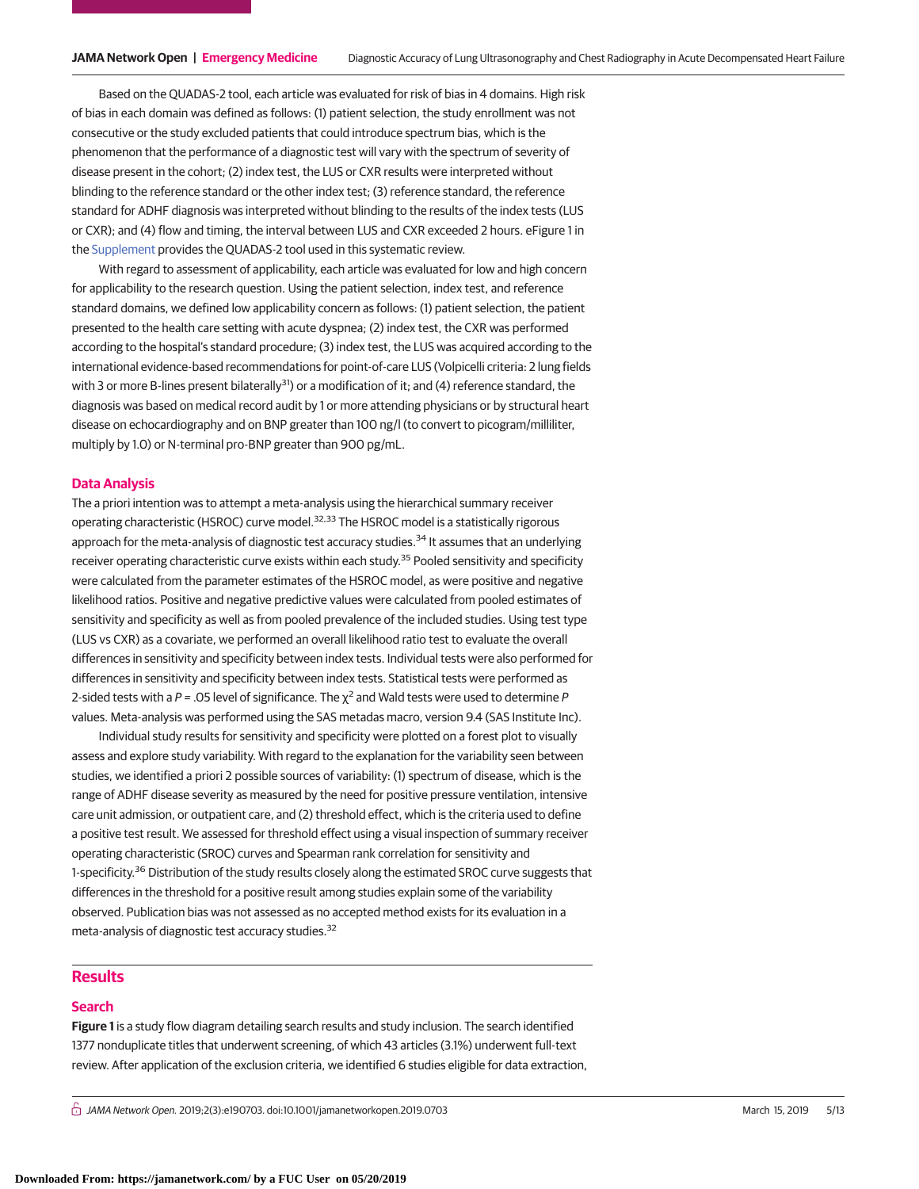Based on the QUADAS-2 tool, each article was evaluated for risk of bias in 4 domains. High risk of bias in each domain was defined as follows: (1) patient selection, the study enrollment was not consecutive or the study excluded patients that could introduce spectrum bias, which is the phenomenon that the performance of a diagnostic test will vary with the spectrum of severity of disease present in the cohort; (2) index test, the LUS or CXR results were interpreted without blinding to the reference standard or the other index test; (3) reference standard, the reference standard for ADHF diagnosis was interpreted without blinding to the results of the index tests (LUS or CXR); and (4) flow and timing, the interval between LUS and CXR exceeded 2 hours. eFigure 1 in the [Supplement](https://jama.jamanetwork.com/article.aspx?doi=10.1001/jamanetworkopen.2019.0703&utm_campaign=articlePDF%26utm_medium=articlePDFlink%26utm_source=articlePDF%26utm_content=jamanetworkopen.2019.0703) provides the QUADAS-2 tool used in this systematic review.

With regard to assessment of applicability, each article was evaluated for low and high concern for applicability to the research question. Using the patient selection, index test, and reference standard domains, we defined low applicability concern as follows: (1) patient selection, the patient presented to the health care setting with acute dyspnea; (2) index test, the CXR was performed according to the hospital's standard procedure; (3) index test, the LUS was acquired according to the international evidence-based recommendations for point-of-care LUS (Volpicelli criteria: 2 lung fields with 3 or more B-lines present bilaterally<sup>31</sup>) or a modification of it; and (4) reference standard, the diagnosis was based on medical record audit by 1 or more attending physicians or by structural heart disease on echocardiography and on BNP greater than 100 ng/l (to convert to picogram/milliliter, multiply by 1.0) or N-terminal pro-BNP greater than 900 pg/mL.

### **Data Analysis**

The a priori intention was to attempt a meta-analysis using the hierarchical summary receiver operating characteristic (HSROC) curve model.<sup>32,33</sup> The HSROC model is a statistically rigorous approach for the meta-analysis of diagnostic test accuracy studies.<sup>34</sup> It assumes that an underlying receiver operating characteristic curve exists within each study.<sup>35</sup> Pooled sensitivity and specificity were calculated from the parameter estimates of the HSROC model, as were positive and negative likelihood ratios. Positive and negative predictive values were calculated from pooled estimates of sensitivity and specificity as well as from pooled prevalence of the included studies. Using test type (LUS vs CXR) as a covariate, we performed an overall likelihood ratio test to evaluate the overall differences in sensitivity and specificity between index tests. Individual tests were also performed for differences in sensitivity and specificity between index tests. Statistical tests were performed as 2-sided tests with a P = .05 level of significance. The  $\chi^2$  and Wald tests were used to determine P values. Meta-analysis was performed using the SAS metadas macro, version 9.4 (SAS Institute Inc).

Individual study results for sensitivity and specificity were plotted on a forest plot to visually assess and explore study variability. With regard to the explanation for the variability seen between studies, we identified a priori 2 possible sources of variability: (1) spectrum of disease, which is the range of ADHF disease severity as measured by the need for positive pressure ventilation, intensive care unit admission, or outpatient care, and (2) threshold effect, which is the criteria used to define a positive test result. We assessed for threshold effect using a visual inspection of summary receiver operating characteristic (SROC) curves and Spearman rank correlation for sensitivity and 1-specificity.<sup>36</sup> Distribution of the study results closely along the estimated SROC curve suggests that differences in the threshold for a positive result among studies explain some of the variability observed. Publication bias was not assessed as no accepted method exists for its evaluation in a meta-analysis of diagnostic test accuracy studies.<sup>32</sup>

## **Results**

#### **Search**

**Figure 1** is a study flow diagram detailing search results and study inclusion. The search identified 1377 nonduplicate titles that underwent screening, of which 43 articles (3.1%) underwent full-text review. After application of the exclusion criteria, we identified 6 studies eligible for data extraction,

 $\bigcap$  JAMA Network Open. 2019;2(3):e190703. doi:10.1001/jamanetworkopen.2019.0703 (Reprinted) March 15, 2019 5/13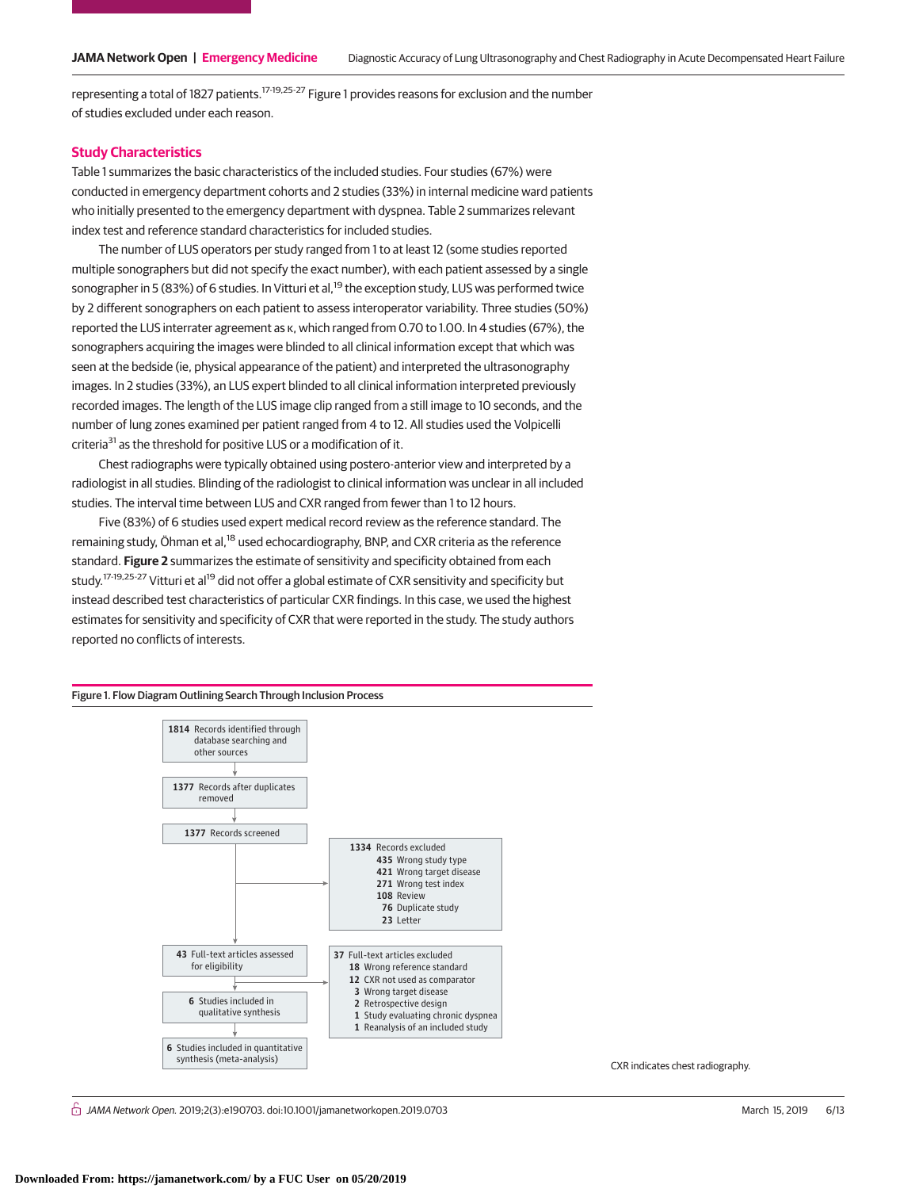representing a total of 1827 patients.17-19,25-27 Figure 1 provides reasons for exclusion and the number of studies excluded under each reason.

#### **Study Characteristics**

Table 1 summarizes the basic characteristics of the included studies. Four studies (67%) were conducted in emergency department cohorts and 2 studies (33%) in internal medicine ward patients who initially presented to the emergency department with dyspnea. Table 2 summarizes relevant index test and reference standard characteristics for included studies.

The number of LUS operators per study ranged from 1 to at least 12 (some studies reported multiple sonographers but did not specify the exact number), with each patient assessed by a single sonographer in 5 (83%) of 6 studies. In Vitturi et al,<sup>19</sup> the exception study, LUS was performed twice by 2 different sonographers on each patient to assess interoperator variability. Three studies (50%) reported the LUS interrater agreement as κ, which ranged from 0.70 to 1.00. In 4 studies (67%), the sonographers acquiring the images were blinded to all clinical information except that which was seen at the bedside (ie, physical appearance of the patient) and interpreted the ultrasonography images. In 2 studies (33%), an LUS expert blinded to all clinical information interpreted previously recorded images. The length of the LUS image clip ranged from a still image to 10 seconds, and the number of lung zones examined per patient ranged from 4 to 12. All studies used the Volpicelli criteria<sup>31</sup> as the threshold for positive LUS or a modification of it.

Chest radiographs were typically obtained using postero-anterior view and interpreted by a radiologist in all studies. Blinding of the radiologist to clinical information was unclear in all included studies. The interval time between LUS and CXR ranged from fewer than 1 to 12 hours.

Five (83%) of 6 studies used expert medical record review as the reference standard. The remaining study, Öhman et al,<sup>18</sup> used echocardiography, BNP, and CXR criteria as the reference standard. **Figure 2** summarizes the estimate of sensitivity and specificity obtained from each study.<sup>17-19,25-27</sup> Vitturi et al<sup>19</sup> did not offer a global estimate of CXR sensitivity and specificity but instead described test characteristics of particular CXR findings. In this case, we used the highest estimates for sensitivity and specificity of CXR that were reported in the study. The study authors reported no conflicts of interests.



 $\stackrel{\curvearrowright}{\cap}$  JAMA Network Open. 2019;2(3):e190703. doi:10.1001/jamanetworkopen.2019.0703 (Reprinted) March 15, 2019 6/13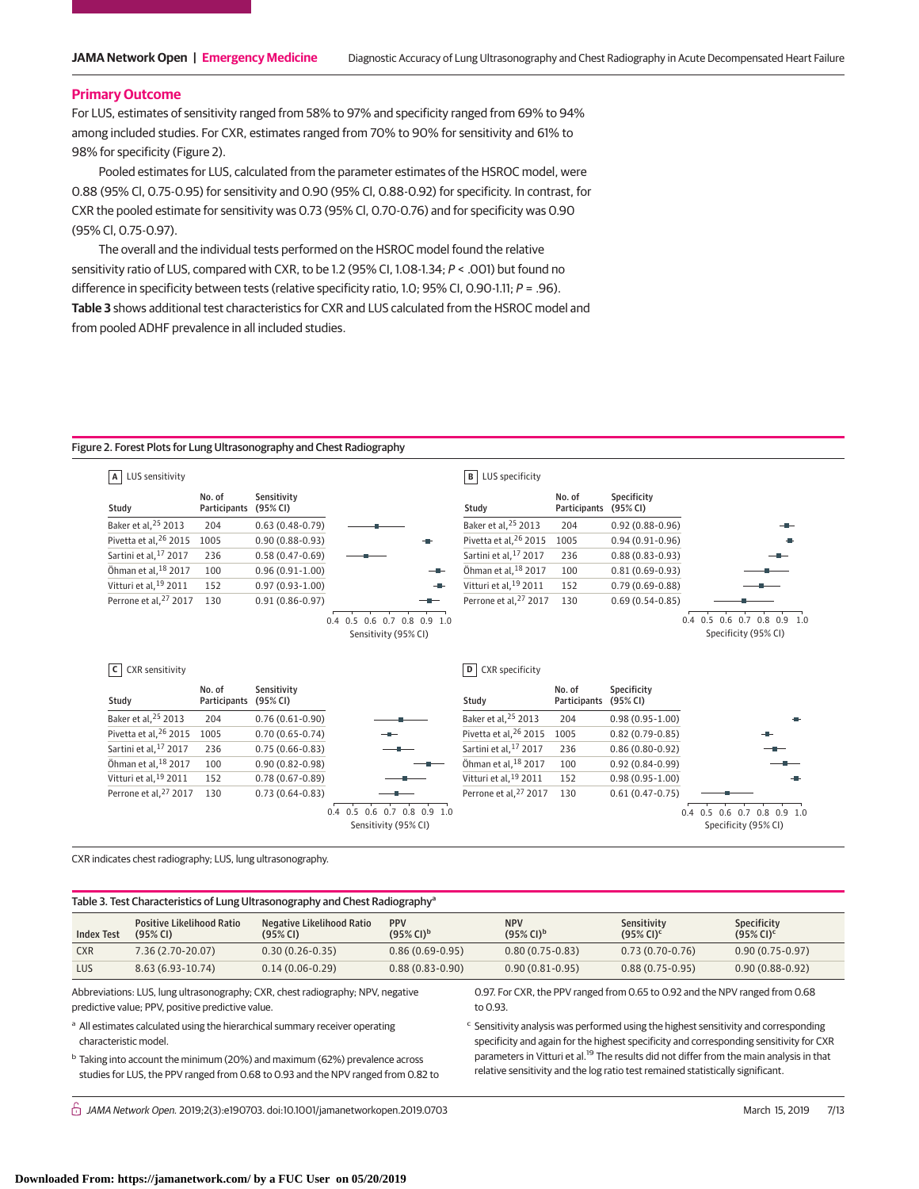#### **Primary Outcome**

For LUS, estimates of sensitivity ranged from 58% to 97% and specificity ranged from 69% to 94% among included studies. For CXR, estimates ranged from 70% to 90% for sensitivity and 61% to 98% for specificity (Figure 2).

Pooled estimates for LUS, calculated from the parameter estimates of the HSROC model, were 0.88 (95% Cl, 0.75-0.95) for sensitivity and 0.90 (95% Cl, 0.88-0.92) for specificity. In contrast, for CXR the pooled estimate for sensitivity was 0.73 (95% Cl, 0.70-0.76) and for specificity was 0.90 (95% Cl, 0.75-0.97).

The overall and the individual tests performed on the HSROC model found the relative sensitivity ratio of LUS, compared with CXR, to be 1.2 (95% CI, 1.08-1.34; P < .001) but found no difference in specificity between tests (relative specificity ratio, 1.0; 95% CI, 0.90-1.11;  $P = .96$ ).

**Table 3** shows additional test characteristics for CXR and LUS calculated from the HSROC model and from pooled ADHF prevalence in all included studies.

#### Figure 2. Forest Plots for Lung Ultrasonography and Chest Radiography

| LUS sensitivity<br>$\mathsf{A}$                                        |                        |                         |                                                     | $\mathbf{B}$<br>LUS specificity   |                        |                         |                                                     |
|------------------------------------------------------------------------|------------------------|-------------------------|-----------------------------------------------------|-----------------------------------|------------------------|-------------------------|-----------------------------------------------------|
| Study                                                                  | No. of<br>Participants | Sensitivity<br>(95% CI) |                                                     | Study                             | No. of<br>Participants | Specificity<br>(95% CI) |                                                     |
| Baker et al. <sup>25</sup> 2013                                        | 204                    | $0.63(0.48-0.79)$       |                                                     | Baker et al, 25 2013              | 204                    | $0.92(0.88-0.96)$       |                                                     |
| Pivetta et al. <sup>26</sup> 2015                                      | 1005                   | $0.90(0.88 - 0.93)$     |                                                     | Pivetta et al. <sup>26</sup> 2015 | 1005                   | $0.94(0.91-0.96)$       |                                                     |
| Sartini et al. <sup>17</sup> 2017                                      | 236                    | $0.58(0.47-0.69)$       |                                                     | Sartini et al, 17 2017            | 236                    | $0.88(0.83 - 0.93)$     |                                                     |
| Öhman et al, 18 2017                                                   | 100                    | $0.96(0.91-1.00)$       | --                                                  | Öhman et al. <sup>18</sup> 2017   | 100                    | $0.81(0.69 - 0.93)$     |                                                     |
| Vitturi et al. <sup>19</sup> 2011                                      | 152                    | $0.97(0.93 - 1.00)$     |                                                     | Vitturi et al. <sup>19</sup> 2011 | 152                    | $0.79(0.69 - 0.88)$     |                                                     |
| Perrone et al, <sup>27</sup> 2017                                      | 130                    | $0.91(0.86 - 0.97)$     | --                                                  | Perrone et al, <sup>27</sup> 2017 | 130                    | $0.69(0.54-0.85)$       |                                                     |
|                                                                        |                        |                         | 0.4 0.5 0.6 0.7 0.8 0.9 1.0<br>Sensitivity (95% CI) |                                   |                        |                         | 0.4 0.5 0.6 0.7 0.8 0.9 1.0<br>Specificity (95% CI) |
| <b>CXR</b> sensitivity<br>c                                            |                        |                         |                                                     | <b>CXR</b> specificity<br>D       |                        |                         |                                                     |
| Study                                                                  | No. of<br>Participants | Sensitivity<br>(95% CI) |                                                     | Study                             | No. of<br>Participants | Specificity<br>(95% CI) |                                                     |
|                                                                        | 204                    | $0.76(0.61-0.90)$       |                                                     | Baker et al, 25 2013              | 204                    | $0.98(0.95 - 1.00)$     |                                                     |
|                                                                        | 1005                   | $0.70(0.65 - 0.74)$     |                                                     | Pivetta et al, 26 2015            | 1005                   | $0.82(0.79-0.85)$       |                                                     |
| Pivetta et al, <sup>26</sup> 2015<br>Sartini et al. <sup>17</sup> 2017 | 236                    | $0.75(0.66 - 0.83)$     |                                                     | Sartini et al, 17 2017            | 236                    | $0.86(0.80-0.92)$       |                                                     |
| Baker et al, 25 2013<br>Öhman et al, 18 2017                           | 100                    | $0.90(0.82 - 0.98)$     |                                                     | Öhman et al, 18 2017              | 100                    | $0.92(0.84 - 0.99)$     |                                                     |
| Vitturi et al. <sup>19</sup> 2011                                      | 152                    | $0.78(0.67 - 0.89)$     |                                                     | Vitturi et al, <sup>19</sup> 2011 | 152                    | $0.98(0.95 - 1.00)$     |                                                     |
| Perrone et al, <sup>27</sup> 2017                                      | 130                    | $0.73(0.64 - 0.83)$     |                                                     | Perrone et al. <sup>27</sup> 2017 | 130                    | $0.61(0.47-0.75)$       |                                                     |

CXR indicates chest radiography; LUS, lung ultrasonography.

Table 3. Test Characteristics of Lung Ultrasonography and Chest Radiography<sup>a</sup>

| <b>Index Test</b> | <b>Positive Likelihood Ratio</b><br>$(95%$ CI) | Negative Likelihood Ratio<br>(95% CI) | <b>PPV</b><br>$(95\%$ CI) <sup>b</sup> | <b>NPV</b><br>$(95\%$ CI) <sup>b</sup> | Sensitivity<br>$(95\%$ CI) <sup>c</sup> | <b>Specificity</b><br>$(95\%$ CI) <sup>c</sup> |
|-------------------|------------------------------------------------|---------------------------------------|----------------------------------------|----------------------------------------|-----------------------------------------|------------------------------------------------|
| <b>CXR</b>        | $7.36(2.70-20.07)$                             | $0.30(0.26-0.35)$                     | $0.86(0.69-0.95)$                      | $0.80(0.75-0.83)$                      | $0.73(0.70-0.76)$                       | $0.90(0.75-0.97)$                              |
| LUS               | $8.63(6.93-10.74)$                             | $0.14(0.06-0.29)$                     | $0.88(0.83 - 0.90)$                    | $0.90(0.81-0.95)$                      | $0.88(0.75-0.95)$                       | $0.90(0.88-0.92)$                              |

Abbreviations: LUS, lung ultrasonography; CXR, chest radiography; NPV, negative predictive value; PPV, positive predictive value.

a All estimates calculated using the hierarchical summary receiver operating characteristic model.

<sup>b</sup> Taking into account the minimum (20%) and maximum (62%) prevalence across studies for LUS, the PPV ranged from 0.68 to 0.93 and the NPV ranged from 0.82 to 0.97. For CXR, the PPV ranged from 0.65 to 0.92 and the NPV ranged from 0.68 to 0.93.

<sup>c</sup> Sensitivity analysis was performed using the highest sensitivity and corresponding specificity and again for the highest specificity and corresponding sensitivity for CXR parameters in Vitturi et al.<sup>19</sup> The results did not differ from the main analysis in that relative sensitivity and the log ratio test remained statistically significant.

 $\stackrel{\frown}{\Pi}$  JAMA Network Open. 2019;2(3):e190703. doi:10.1001/jamanetworkopen.2019.0703 (Reprinted) March 15, 2019 7/13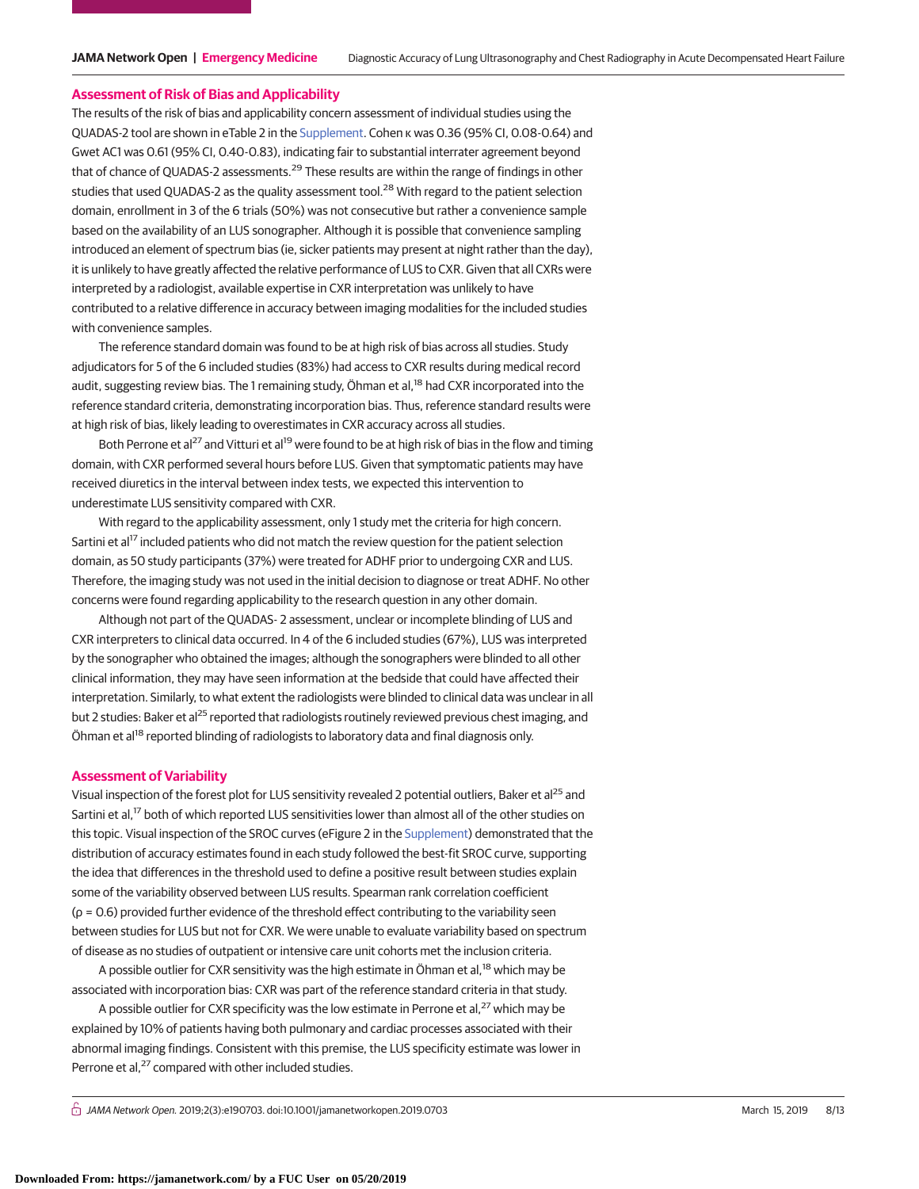#### **Assessment of Risk of Bias and Applicability**

The results of the risk of bias and applicability concern assessment of individual studies using the QUADAS-2 tool are shown in eTable 2 in the [Supplement.](https://jama.jamanetwork.com/article.aspx?doi=10.1001/jamanetworkopen.2019.0703&utm_campaign=articlePDF%26utm_medium=articlePDFlink%26utm_source=articlePDF%26utm_content=jamanetworkopen.2019.0703) Cohen κ was 0.36 (95% CI, 0.08-0.64) and Gwet AC1 was 0.61 (95% CI, 0.40-0.83), indicating fair to substantial interrater agreement beyond that of chance of QUADAS-2 assessments.<sup>29</sup> These results are within the range of findings in other studies that used QUADAS-2 as the quality assessment tool.<sup>28</sup> With regard to the patient selection domain, enrollment in 3 of the 6 trials (50%) was not consecutive but rather a convenience sample based on the availability of an LUS sonographer. Although it is possible that convenience sampling introduced an element of spectrum bias (ie, sicker patients may present at night rather than the day), it is unlikely to have greatly affected the relative performance of LUS to CXR. Given that all CXRs were interpreted by a radiologist, available expertise in CXR interpretation was unlikely to have contributed to a relative difference in accuracy between imaging modalities for the included studies with convenience samples.

The reference standard domain was found to be at high risk of bias across all studies. Study adjudicators for 5 of the 6 included studies (83%) had access to CXR results during medical record audit, suggesting review bias. The 1 remaining study, Öhman et al,<sup>18</sup> had CXR incorporated into the reference standard criteria, demonstrating incorporation bias. Thus, reference standard results were at high risk of bias, likely leading to overestimates in CXR accuracy across all studies.

Both Perrone et al<sup>27</sup> and Vitturi et al<sup>19</sup> were found to be at high risk of bias in the flow and timing domain, with CXR performed several hours before LUS. Given that symptomatic patients may have received diuretics in the interval between index tests, we expected this intervention to underestimate LUS sensitivity compared with CXR.

With regard to the applicability assessment, only 1 study met the criteria for high concern. Sartini et al<sup>17</sup> included patients who did not match the review question for the patient selection domain, as 50 study participants (37%) were treated for ADHF prior to undergoing CXR and LUS. Therefore, the imaging study was not used in the initial decision to diagnose or treat ADHF. No other concerns were found regarding applicability to the research question in any other domain.

Although not part of the QUADAS- 2 assessment, unclear or incomplete blinding of LUS and CXR interpreters to clinical data occurred. In 4 of the 6 included studies (67%), LUS was interpreted by the sonographer who obtained the images; although the sonographers were blinded to all other clinical information, they may have seen information at the bedside that could have affected their interpretation. Similarly, to what extent the radiologists were blinded to clinical data was unclear in all but 2 studies: Baker et al<sup>25</sup> reported that radiologists routinely reviewed previous chest imaging, and Öhman et al<sup>18</sup> reported blinding of radiologists to laboratory data and final diagnosis only.

#### **Assessment of Variability**

Visual inspection of the forest plot for LUS sensitivity revealed 2 potential outliers, Baker et al25 and Sartini et al,<sup>17</sup> both of which reported LUS sensitivities lower than almost all of the other studies on this topic. Visual inspection of the SROC curves (eFigure 2 in the [Supplement\)](https://jama.jamanetwork.com/article.aspx?doi=10.1001/jamanetworkopen.2019.0703&utm_campaign=articlePDF%26utm_medium=articlePDFlink%26utm_source=articlePDF%26utm_content=jamanetworkopen.2019.0703) demonstrated that the distribution of accuracy estimates found in each study followed the best-fit SROC curve, supporting the idea that differences in the threshold used to define a positive result between studies explain some of the variability observed between LUS results. Spearman rank correlation coefficient (ρ = 0.6) provided further evidence of the threshold effect contributing to the variability seen between studies for LUS but not for CXR. We were unable to evaluate variability based on spectrum of disease as no studies of outpatient or intensive care unit cohorts met the inclusion criteria.

A possible outlier for CXR sensitivity was the high estimate in Öhman et al,<sup>18</sup> which may be associated with incorporation bias: CXR was part of the reference standard criteria in that study.

A possible outlier for CXR specificity was the low estimate in Perrone et al,<sup>27</sup> which may be explained by 10% of patients having both pulmonary and cardiac processes associated with their abnormal imaging findings. Consistent with this premise, the LUS specificity estimate was lower in Perrone et al,<sup>27</sup> compared with other included studies.

 $\stackrel{\frown}{\Pi}$  JAMA Network Open. 2019;2(3):e190703. doi:10.1001/jamanetworkopen.2019.0703 (Reprinted) March 15, 2019 8/13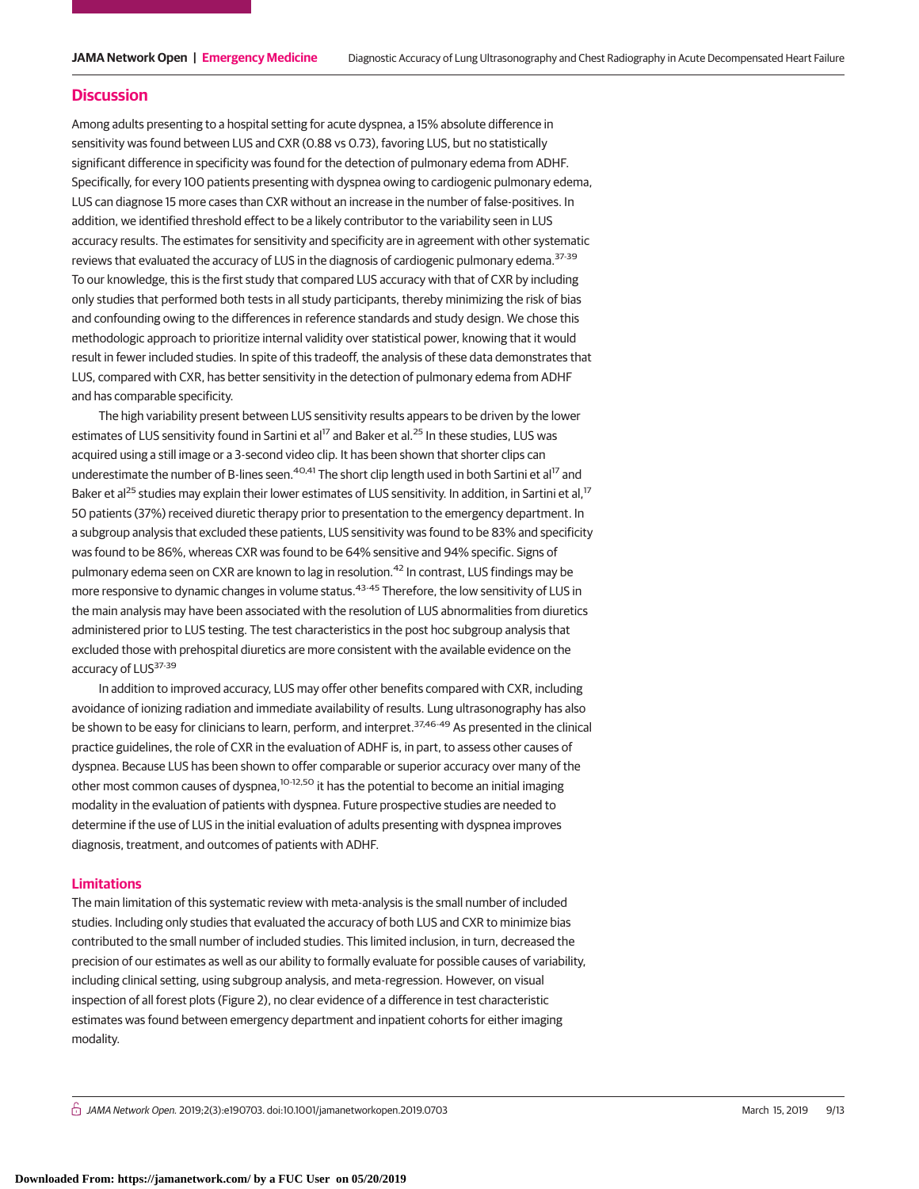#### **Discussion**

Among adults presenting to a hospital setting for acute dyspnea, a 15% absolute difference in sensitivity was found between LUS and CXR (0.88 vs 0.73), favoring LUS, but no statistically significant difference in specificity was found for the detection of pulmonary edema from ADHF. Specifically, for every 100 patients presenting with dyspnea owing to cardiogenic pulmonary edema, LUS can diagnose 15 more cases than CXR without an increase in the number of false-positives. In addition, we identified threshold effect to be a likely contributor to the variability seen in LUS accuracy results. The estimates for sensitivity and specificity are in agreement with other systematic reviews that evaluated the accuracy of LUS in the diagnosis of cardiogenic pulmonary edema.<sup>37-39</sup> To our knowledge, this is the first study that compared LUS accuracy with that of CXR by including only studies that performed both tests in all study participants, thereby minimizing the risk of bias and confounding owing to the differences in reference standards and study design. We chose this methodologic approach to prioritize internal validity over statistical power, knowing that it would result in fewer included studies. In spite of this tradeoff, the analysis of these data demonstrates that LUS, compared with CXR, has better sensitivity in the detection of pulmonary edema from ADHF and has comparable specificity.

The high variability present between LUS sensitivity results appears to be driven by the lower estimates of LUS sensitivity found in Sartini et al<sup>17</sup> and Baker et al.<sup>25</sup> In these studies, LUS was acquired using a still image or a 3-second video clip. It has been shown that shorter clips can underestimate the number of B-lines seen.<sup>40,41</sup> The short clip length used in both Sartini et al<sup>17</sup> and Baker et al<sup>25</sup> studies may explain their lower estimates of LUS sensitivity. In addition, in Sartini et al,<sup>17</sup> 50 patients (37%) received diuretic therapy prior to presentation to the emergency department. In a subgroup analysis that excluded these patients, LUS sensitivity was found to be 83% and specificity was found to be 86%, whereas CXR was found to be 64% sensitive and 94% specific. Signs of pulmonary edema seen on CXR are known to lag in resolution.<sup>42</sup> In contrast, LUS findings may be more responsive to dynamic changes in volume status.<sup>43-45</sup> Therefore, the low sensitivity of LUS in the main analysis may have been associated with the resolution of LUS abnormalities from diuretics administered prior to LUS testing. The test characteristics in the post hoc subgroup analysis that excluded those with prehospital diuretics are more consistent with the available evidence on the accuracy of LUS<sup>37-39</sup>

In addition to improved accuracy, LUS may offer other benefits compared with CXR, including avoidance of ionizing radiation and immediate availability of results. Lung ultrasonography has also be shown to be easy for clinicians to learn, perform, and interpret.<sup>37,46-49</sup> As presented in the clinical practice guidelines, the role of CXR in the evaluation of ADHF is, in part, to assess other causes of dyspnea. Because LUS has been shown to offer comparable or superior accuracy over many of the other most common causes of dyspnea,<sup>10-12,50</sup> it has the potential to become an initial imaging modality in the evaluation of patients with dyspnea. Future prospective studies are needed to determine if the use of LUS in the initial evaluation of adults presenting with dyspnea improves diagnosis, treatment, and outcomes of patients with ADHF.

## **Limitations**

The main limitation of this systematic review with meta-analysis is the small number of included studies. Including only studies that evaluated the accuracy of both LUS and CXR to minimize bias contributed to the small number of included studies. This limited inclusion, in turn, decreased the precision of our estimates as well as our ability to formally evaluate for possible causes of variability, including clinical setting, using subgroup analysis, and meta-regression. However, on visual inspection of all forest plots (Figure 2), no clear evidence of a difference in test characteristic estimates was found between emergency department and inpatient cohorts for either imaging modality.

 $\stackrel{\frown}{\Pi}$  JAMA Network Open. 2019;2(3):e190703. doi:10.1001/jamanetworkopen.2019.0703 (Reprinted) March 15, 2019 9/13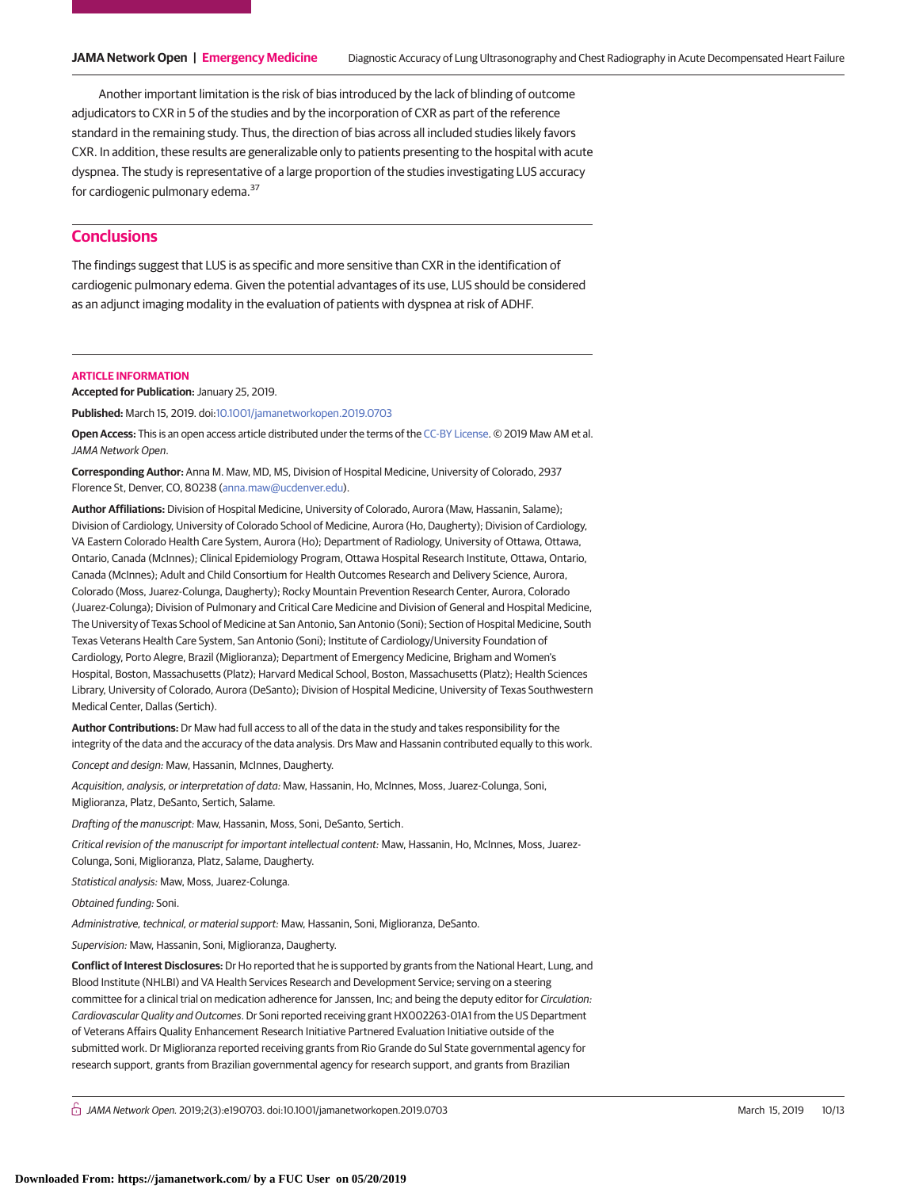Another important limitation is the risk of bias introduced by the lack of blinding of outcome adjudicators to CXR in 5 of the studies and by the incorporation of CXR as part of the reference standard in the remaining study. Thus, the direction of bias across all included studies likely favors CXR. In addition, these results are generalizable only to patients presenting to the hospital with acute dyspnea. The study is representative of a large proportion of the studies investigating LUS accuracy for cardiogenic pulmonary edema.<sup>37</sup>

# **Conclusions**

The findings suggest that LUS is as specific and more sensitive than CXR in the identification of cardiogenic pulmonary edema. Given the potential advantages of its use, LUS should be considered as an adjunct imaging modality in the evaluation of patients with dyspnea at risk of ADHF.

#### **ARTICLE INFORMATION**

**Accepted for Publication:** January 25, 2019.

**Published:** March 15, 2019. doi[:10.1001/jamanetworkopen.2019.0703](https://jama.jamanetwork.com/article.aspx?doi=10.1001/jamanetworkopen.2019.0703&utm_campaign=articlePDF%26utm_medium=articlePDFlink%26utm_source=articlePDF%26utm_content=jamanetworkopen.2019.0703)

**Open Access:** This is an open access article distributed under the terms of the [CC-BY License.](https://jamanetwork.com/journals/jamanetworkopen/pages/instructions-for-authors#SecOpenAccess/?utm_campaign=articlePDF%26utm_medium=articlePDFlink%26utm_source=articlePDF%26utm_content=jamanetworkopen.2019.0703) © 2019 Maw AM et al. JAMA Network Open.

**Corresponding Author:** Anna M. Maw, MD, MS, Division of Hospital Medicine, University of Colorado, 2937 Florence St, Denver, CO, 80238 [\(anna.maw@ucdenver.edu\)](mailto:anna.maw@ucdenver.edu).

**Author Affiliations:** Division of Hospital Medicine, University of Colorado, Aurora (Maw, Hassanin, Salame); Division of Cardiology, University of Colorado School of Medicine, Aurora (Ho, Daugherty); Division of Cardiology, VA Eastern Colorado Health Care System, Aurora (Ho); Department of Radiology, University of Ottawa, Ottawa, Ontario, Canada (McInnes); Clinical Epidemiology Program, Ottawa Hospital Research Institute, Ottawa, Ontario, Canada (McInnes); Adult and Child Consortium for Health Outcomes Research and Delivery Science, Aurora, Colorado (Moss, Juarez-Colunga, Daugherty); Rocky Mountain Prevention Research Center, Aurora, Colorado (Juarez-Colunga); Division of Pulmonary and Critical Care Medicine and Division of General and Hospital Medicine, The University of Texas School of Medicine at San Antonio, San Antonio (Soni); Section of Hospital Medicine, South Texas Veterans Health Care System, San Antonio (Soni); Institute of Cardiology/University Foundation of Cardiology, Porto Alegre, Brazil (Miglioranza); Department of Emergency Medicine, Brigham and Women's Hospital, Boston, Massachusetts (Platz); Harvard Medical School, Boston, Massachusetts (Platz); Health Sciences Library, University of Colorado, Aurora (DeSanto); Division of Hospital Medicine, University of Texas Southwestern Medical Center, Dallas (Sertich).

**Author Contributions:** Dr Maw had full access to all of the data in the study and takes responsibility for the integrity of the data and the accuracy of the data analysis. Drs Maw and Hassanin contributed equally to this work.

Concept and design: Maw, Hassanin, McInnes, Daugherty.

Acquisition, analysis, or interpretation of data: Maw, Hassanin, Ho, McInnes, Moss, Juarez-Colunga, Soni, Miglioranza, Platz, DeSanto, Sertich, Salame.

Drafting of the manuscript: Maw, Hassanin, Moss, Soni, DeSanto, Sertich.

Critical revision of the manuscript for important intellectual content: Maw, Hassanin, Ho, McInnes, Moss, Juarez-Colunga, Soni, Miglioranza, Platz, Salame, Daugherty.

Statistical analysis: Maw, Moss, Juarez-Colunga.

Obtained funding: Soni.

Administrative, technical, or material support: Maw, Hassanin, Soni, Miglioranza, DeSanto.

Supervision: Maw, Hassanin, Soni, Miglioranza, Daugherty.

**Conflict of Interest Disclosures:** Dr Ho reported that he is supported by grants from the National Heart, Lung, and Blood Institute (NHLBI) and VA Health Services Research and Development Service; serving on a steering committee for a clinical trial on medication adherence for Janssen, Inc; and being the deputy editor for Circulation: Cardiovascular Quality and Outcomes. Dr Soni reported receiving grant HX002263-01A1 from the US Department of Veterans Affairs Quality Enhancement Research Initiative Partnered Evaluation Initiative outside of the submitted work. Dr Miglioranza reported receiving grants from Rio Grande do Sul State governmental agency for research support, grants from Brazilian governmental agency for research support, and grants from Brazilian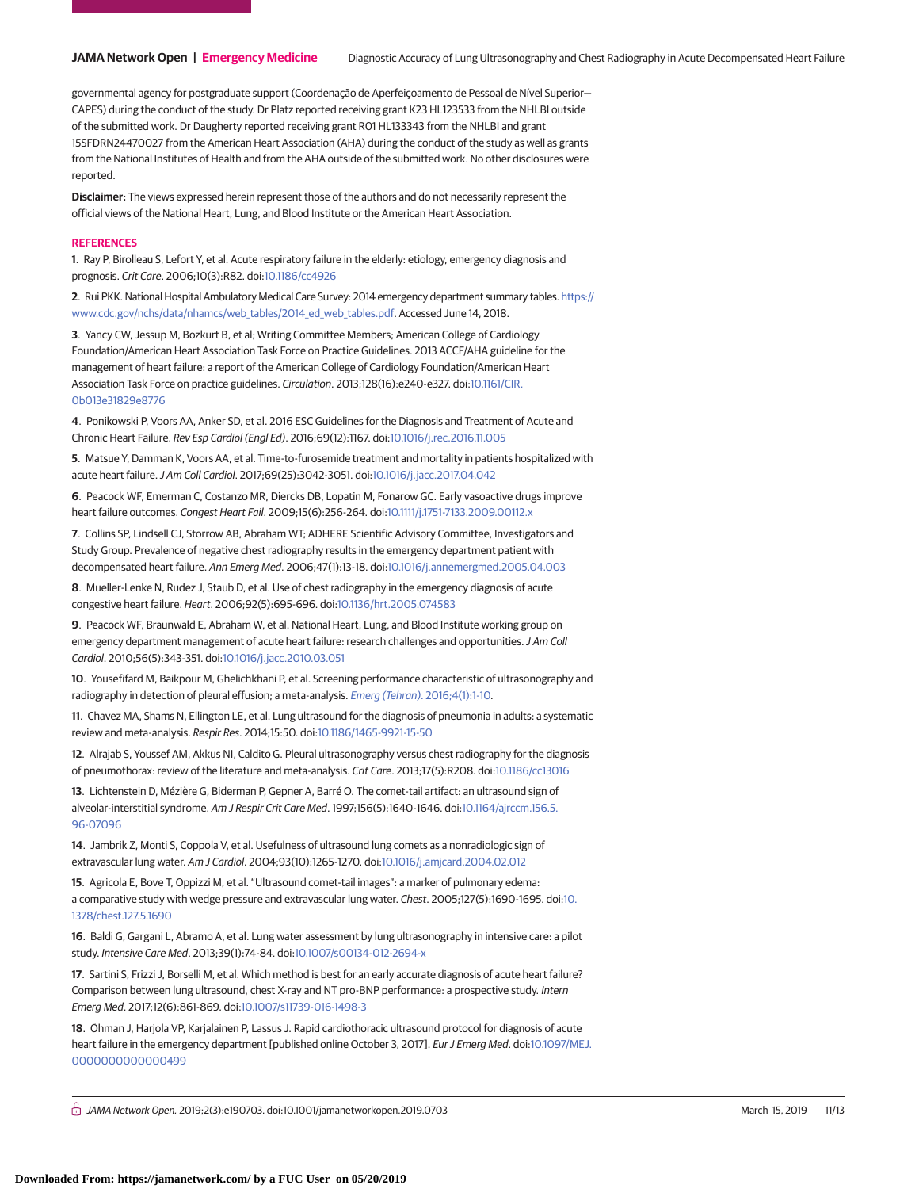governmental agency for postgraduate support (Coordenação de Aperfeiçoamento de Pessoal de Nível Superior— CAPES) during the conduct of the study. Dr Platz reported receiving grant K23 HL123533 from the NHLBI outside of the submitted work. Dr Daugherty reported receiving grant R01 HL133343 from the NHLBI and grant 15SFDRN24470027 from the American Heart Association (AHA) during the conduct of the study as well as grants from the National Institutes of Health and from the AHA outside of the submitted work. No other disclosures were reported.

**Disclaimer:** The views expressed herein represent those of the authors and do not necessarily represent the official views of the National Heart, Lung, and Blood Institute or the American Heart Association.

#### **REFERENCES**

**1**. Ray P, Birolleau S, Lefort Y, et al. Acute respiratory failure in the elderly: etiology, emergency diagnosis and prognosis. Crit Care. 2006;10(3):R82. doi[:10.1186/cc4926](https://dx.doi.org/10.1186/cc4926)

**2**. Rui PKK. National Hospital Ambulatory Medical Care Survey: 2014 emergency department summary tables. [https://](https://www.cdc.gov/nchs/data/nhamcs/web_tables/2014_ed_web_tables.pdf) [www.cdc.gov/nchs/data/nhamcs/web\\_tables/2014\\_ed\\_web\\_tables.pdf.](https://www.cdc.gov/nchs/data/nhamcs/web_tables/2014_ed_web_tables.pdf) Accessed June 14, 2018.

**3**. Yancy CW, Jessup M, Bozkurt B, et al; Writing Committee Members; American College of Cardiology Foundation/American Heart Association Task Force on Practice Guidelines. 2013 ACCF/AHA guideline for the management of heart failure: a report of the American College of Cardiology Foundation/American Heart Association Task Force on practice guidelines. Circulation. 2013;128(16):e240-e327. doi[:10.1161/CIR.](https://dx.doi.org/10.1161/CIR.0b013e31829e8776) [0b013e31829e8776](https://dx.doi.org/10.1161/CIR.0b013e31829e8776)

**4**. Ponikowski P, Voors AA, Anker SD, et al. 2016 ESC Guidelines for the Diagnosis and Treatment of Acute and Chronic Heart Failure. Rev Esp Cardiol (Engl Ed). 2016;69(12):1167. doi[:10.1016/j.rec.2016.11.005](https://dx.doi.org/10.1016/j.rec.2016.11.005)

**5**. Matsue Y, Damman K, Voors AA, et al. Time-to-furosemide treatment and mortality in patients hospitalized with acute heart failure.J Am Coll Cardiol. 2017;69(25):3042-3051. doi[:10.1016/j.jacc.2017.04.042](https://dx.doi.org/10.1016/j.jacc.2017.04.042)

**6**. Peacock WF, Emerman C, Costanzo MR, Diercks DB, Lopatin M, Fonarow GC. Early vasoactive drugs improve heart failure outcomes. Congest Heart Fail. 2009;15(6):256-264. doi[:10.1111/j.1751-7133.2009.00112.x](https://dx.doi.org/10.1111/j.1751-7133.2009.00112.x)

**7**. Collins SP, Lindsell CJ, Storrow AB, Abraham WT; ADHERE Scientific Advisory Committee, Investigators and Study Group. Prevalence of negative chest radiography results in the emergency department patient with decompensated heart failure. Ann Emerg Med. 2006;47(1):13-18. doi[:10.1016/j.annemergmed.2005.04.003](https://dx.doi.org/10.1016/j.annemergmed.2005.04.003)

**8**. Mueller-Lenke N, Rudez J, Staub D, et al. Use of chest radiography in the emergency diagnosis of acute congestive heart failure. Heart. 2006;92(5):695-696. doi[:10.1136/hrt.2005.074583](https://dx.doi.org/10.1136/hrt.2005.074583)

**9**. Peacock WF, Braunwald E, Abraham W, et al. National Heart, Lung, and Blood Institute working group on emergency department management of acute heart failure: research challenges and opportunities.J Am Coll Cardiol. 2010;56(5):343-351. doi[:10.1016/j.jacc.2010.03.051](https://dx.doi.org/10.1016/j.jacc.2010.03.051)

**10**. Yousefifard M, Baikpour M, Ghelichkhani P, et al. Screening performance characteristic of ultrasonography and radiography in detection of pleural effusion; a meta-analysis. Emerg (Tehran)[. 2016;4\(1\):1-10.](https://www.ncbi.nlm.nih.gov/pubmed/26862542)

**11**. Chavez MA, Shams N, Ellington LE, et al. Lung ultrasound for the diagnosis of pneumonia in adults: a systematic review and meta-analysis. Respir Res. 2014;15:50. doi[:10.1186/1465-9921-15-50](https://dx.doi.org/10.1186/1465-9921-15-50)

**12**. Alrajab S, Youssef AM, Akkus NI, Caldito G. Pleural ultrasonography versus chest radiography for the diagnosis of pneumothorax: review of the literature and meta-analysis. Crit Care. 2013;17(5):R208. doi[:10.1186/cc13016](https://dx.doi.org/10.1186/cc13016)

**13**. Lichtenstein D, Mézière G, Biderman P, Gepner A, Barré O. The comet-tail artifact: an ultrasound sign of alveolar-interstitial syndrome. Am J Respir Crit Care Med. 1997;156(5):1640-1646. doi[:10.1164/ajrccm.156.5.](https://dx.doi.org/10.1164/ajrccm.156.5.96-07096) [96-07096](https://dx.doi.org/10.1164/ajrccm.156.5.96-07096)

**14**. Jambrik Z, Monti S, Coppola V, et al. Usefulness of ultrasound lung comets as a nonradiologic sign of extravascular lung water. Am J Cardiol. 2004;93(10):1265-1270. doi[:10.1016/j.amjcard.2004.02.012](https://dx.doi.org/10.1016/j.amjcard.2004.02.012)

**15**. Agricola E, Bove T, Oppizzi M, et al. "Ultrasound comet-tail images": a marker of pulmonary edema: a comparative study with wedge pressure and extravascular lung water. Chest. 2005;127(5):1690-1695. doi[:10.](https://dx.doi.org/10.1378/chest.127.5.1690) [1378/chest.127.5.1690](https://dx.doi.org/10.1378/chest.127.5.1690)

**16**. Baldi G, Gargani L, Abramo A, et al. Lung water assessment by lung ultrasonography in intensive care: a pilot study. Intensive Care Med. 2013;39(1):74-84. doi[:10.1007/s00134-012-2694-x](https://dx.doi.org/10.1007/s00134-012-2694-x)

**17**. Sartini S, Frizzi J, Borselli M, et al. Which method is best for an early accurate diagnosis of acute heart failure? Comparison between lung ultrasound, chest X-ray and NT pro-BNP performance: a prospective study. Intern Emerg Med. 2017;12(6):861-869. doi[:10.1007/s11739-016-1498-3](https://dx.doi.org/10.1007/s11739-016-1498-3)

**18**. Öhman J, Harjola VP, Karjalainen P, Lassus J. Rapid cardiothoracic ultrasound protocol for diagnosis of acute heart failure in the emergency department [published online October 3, 2017]. Eur J Emerg Med. doi[:10.1097/MEJ.](https://dx.doi.org/10.1097/MEJ.0000000000000499) [0000000000000499](https://dx.doi.org/10.1097/MEJ.0000000000000499)

 $\stackrel{\frown}{\Box}$  JAMA Network Open. 2019;2(3):e190703. doi:10.1001/jamanetworkopen.2019.0703 (Reprinted) March 15, 2019 11/13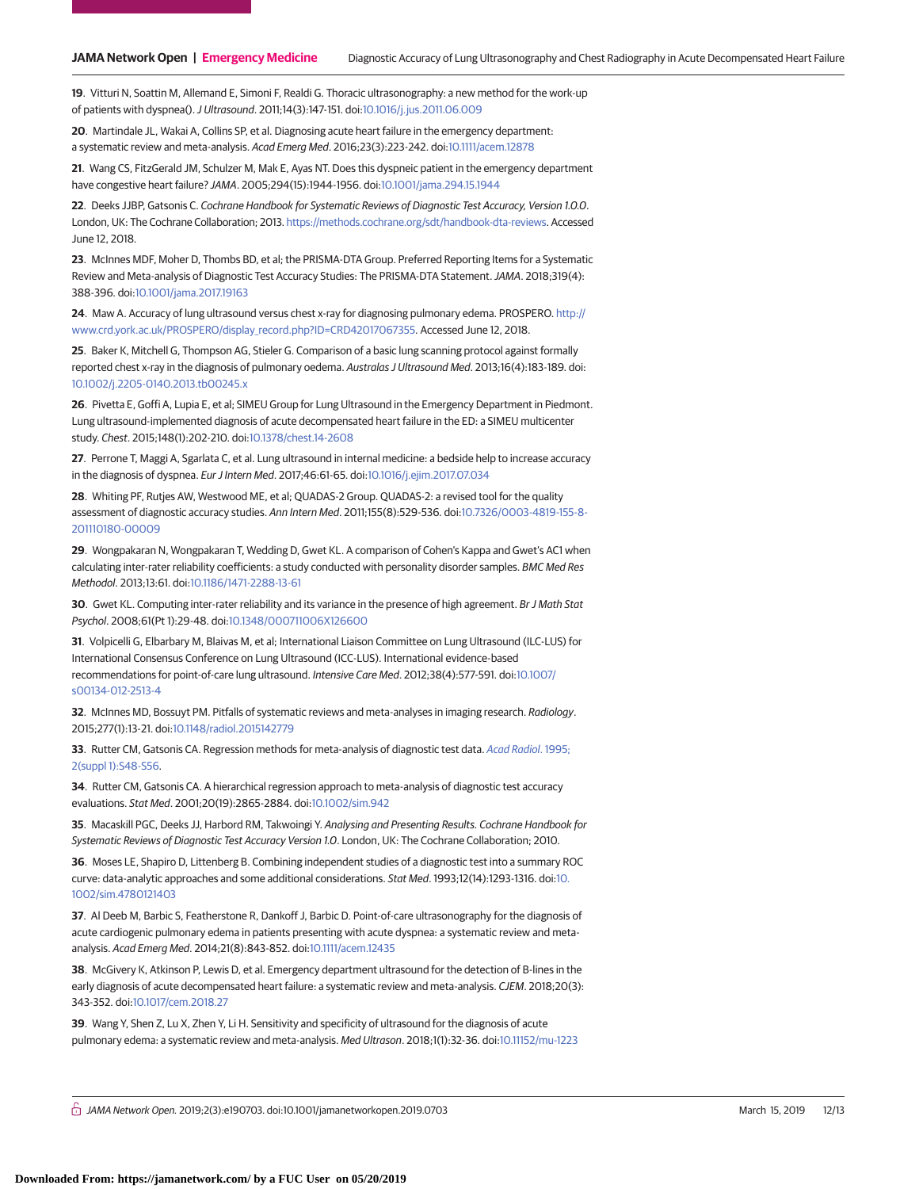**19**. Vitturi N, Soattin M, Allemand E, Simoni F, Realdi G. Thoracic ultrasonography: a new method for the work-up of patients with dyspnea().J Ultrasound. 2011;14(3):147-151. doi[:10.1016/j.jus.2011.06.009](https://dx.doi.org/10.1016/j.jus.2011.06.009)

**20**. Martindale JL, Wakai A, Collins SP, et al. Diagnosing acute heart failure in the emergency department: a systematic review and meta-analysis. Acad Emerg Med. 2016;23(3):223-242. doi[:10.1111/acem.12878](https://dx.doi.org/10.1111/acem.12878)

**21**. Wang CS, FitzGerald JM, Schulzer M, Mak E, Ayas NT. Does this dyspneic patient in the emergency department have congestive heart failure? JAMA. 2005;294(15):1944-1956. doi[:10.1001/jama.294.15.1944](https://jama.jamanetwork.com/article.aspx?doi=10.1001/jama.294.15.1944&utm_campaign=articlePDF%26utm_medium=articlePDFlink%26utm_source=articlePDF%26utm_content=jamanetworkopen.2019.0703)

**22**. Deeks JJBP, Gatsonis C. Cochrane Handbook for Systematic Reviews of Diagnostic Test Accuracy, Version 1.0.0. London, UK: The Cochrane Collaboration; 2013. [https://methods.cochrane.org/sdt/handbook-dta-reviews.](https://methods.cochrane.org/sdt/handbook-dta-reviews) Accessed June 12, 2018.

**23**. McInnes MDF, Moher D, Thombs BD, et al; the PRISMA-DTA Group. Preferred Reporting Items for a Systematic Review and Meta-analysis of Diagnostic Test Accuracy Studies: The PRISMA-DTA Statement.JAMA. 2018;319(4): 388-396. doi[:10.1001/jama.2017.19163](https://jama.jamanetwork.com/article.aspx?doi=10.1001/jama.2017.19163&utm_campaign=articlePDF%26utm_medium=articlePDFlink%26utm_source=articlePDF%26utm_content=jamanetworkopen.2019.0703)

**24**. Maw A. Accuracy of lung ultrasound versus chest x-ray for diagnosing pulmonary edema. PROSPERO. [http://](http://www.crd.york.ac.uk/PROSPERO/display_record.php?ID=CRD42017067355) [www.crd.york.ac.uk/PROSPERO/display\\_record.php?ID=CRD42017067355.](http://www.crd.york.ac.uk/PROSPERO/display_record.php?ID=CRD42017067355) Accessed June 12, 2018.

**25**. Baker K, Mitchell G, Thompson AG, Stieler G. Comparison of a basic lung scanning protocol against formally reported chest x-ray in the diagnosis of pulmonary oedema. Australas J Ultrasound Med. 2013;16(4):183-189. doi: [10.1002/j.2205-0140.2013.tb00245.x](https://dx.doi.org/10.1002/j.2205-0140.2013.tb00245.x)

**26**. Pivetta E, Goffi A, Lupia E, et al; SIMEU Group for Lung Ultrasound in the Emergency Department in Piedmont. Lung ultrasound-implemented diagnosis of acute decompensated heart failure in the ED: a SIMEU multicenter study. Chest. 2015;148(1):202-210. doi[:10.1378/chest.14-2608](https://dx.doi.org/10.1378/chest.14-2608)

**27**. Perrone T, Maggi A, Sgarlata C, et al. Lung ultrasound in internal medicine: a bedside help to increase accuracy in the diagnosis of dyspnea. Eur J Intern Med. 2017;46:61-65. doi[:10.1016/j.ejim.2017.07.034](https://dx.doi.org/10.1016/j.ejim.2017.07.034)

**28**. Whiting PF, Rutjes AW, Westwood ME, et al; QUADAS-2 Group. QUADAS-2: a revised tool for the quality assessment of diagnostic accuracy studies. Ann Intern Med. 2011;155(8):529-536. doi[:10.7326/0003-4819-155-8-](https://dx.doi.org/10.7326/0003-4819-155-8-201110180-00009) [201110180-00009](https://dx.doi.org/10.7326/0003-4819-155-8-201110180-00009)

**29**. Wongpakaran N, Wongpakaran T, Wedding D, Gwet KL. A comparison of Cohen's Kappa and Gwet's AC1 when calculating inter-rater reliability coefficients: a study conducted with personality disorder samples. BMC Med Res Methodol. 2013;13:61. doi[:10.1186/1471-2288-13-61](https://dx.doi.org/10.1186/1471-2288-13-61)

**30**. Gwet KL. Computing inter-rater reliability and its variance in the presence of high agreement. Br J Math Stat Psychol. 2008;61(Pt 1):29-48. doi[:10.1348/000711006X126600](https://dx.doi.org/10.1348/000711006X126600)

**31**. Volpicelli G, Elbarbary M, Blaivas M, et al; International Liaison Committee on Lung Ultrasound (ILC-LUS) for International Consensus Conference on Lung Ultrasound (ICC-LUS). International evidence-based recommendations for point-of-care lung ultrasound. Intensive Care Med. 2012;38(4):577-591. doi[:10.1007/](https://dx.doi.org/10.1007/s00134-012-2513-4) [s00134-012-2513-4](https://dx.doi.org/10.1007/s00134-012-2513-4)

**32**. McInnes MD, Bossuyt PM. Pitfalls of systematic reviews and meta-analyses in imaging research. Radiology. 2015;277(1):13-21. doi[:10.1148/radiol.2015142779](https://dx.doi.org/10.1148/radiol.2015142779)

**33**. Rutter CM, Gatsonis CA. Regression methods for meta-analysis of diagnostic test data. [Acad Radiol](https://www.ncbi.nlm.nih.gov/pubmed/9419705). 1995; [2\(suppl 1\):S48-S56.](https://www.ncbi.nlm.nih.gov/pubmed/9419705)

**34**. Rutter CM, Gatsonis CA. A hierarchical regression approach to meta-analysis of diagnostic test accuracy evaluations. Stat Med. 2001;20(19):2865-2884. doi[:10.1002/sim.942](https://dx.doi.org/10.1002/sim.942)

**35**. Macaskill PGC, Deeks JJ, Harbord RM, Takwoingi Y. Analysing and Presenting Results. Cochrane Handbook for Systematic Reviews of Diagnostic Test Accuracy Version 1.0. London, UK: The Cochrane Collaboration; 2010.

**36**. Moses LE, Shapiro D, Littenberg B. Combining independent studies of a diagnostic test into a summary ROC curve: data-analytic approaches and some additional considerations. Stat Med. 1993;12(14):1293-1316. doi[:10.](https://dx.doi.org/10.1002/sim.4780121403) [1002/sim.4780121403](https://dx.doi.org/10.1002/sim.4780121403)

**37**. Al Deeb M, Barbic S, Featherstone R, Dankoff J, Barbic D. Point-of-care ultrasonography for the diagnosis of acute cardiogenic pulmonary edema in patients presenting with acute dyspnea: a systematic review and metaanalysis. Acad Emerg Med. 2014;21(8):843-852. doi[:10.1111/acem.12435](https://dx.doi.org/10.1111/acem.12435)

**38**. McGivery K, Atkinson P, Lewis D, et al. Emergency department ultrasound for the detection of B-lines in the early diagnosis of acute decompensated heart failure: a systematic review and meta-analysis. CJEM. 2018;20(3): 343-352. doi[:10.1017/cem.2018.27](https://dx.doi.org/10.1017/cem.2018.27)

**39**. Wang Y, Shen Z, Lu X, Zhen Y, Li H. Sensitivity and specificity of ultrasound for the diagnosis of acute pulmonary edema: a systematic review and meta-analysis. Med Ultrason. 2018;1(1):32-36. doi[:10.11152/mu-1223](https://dx.doi.org/10.11152/mu-1223)

 $\stackrel{\frown}{\Box}$  JAMA Network Open. 2019;2(3):e190703. doi:10.1001/jamanetworkopen.2019.0703 (Reprinted) March 15, 2019 12/13